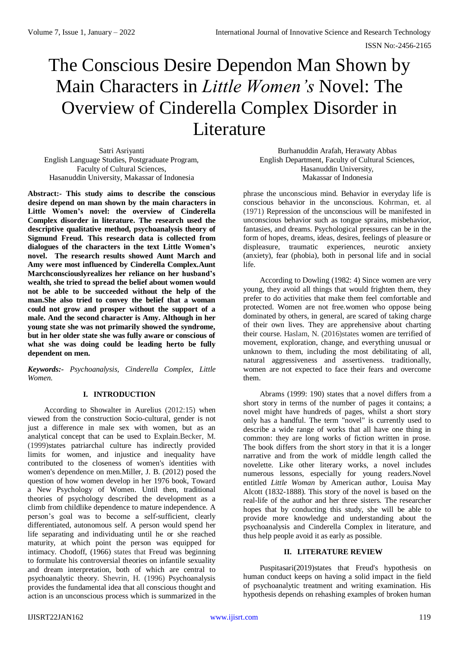# The Conscious Desire Dependon Man Shown by Main Characters in *Little Women's* Novel: The Overview of Cinderella Complex Disorder in Literature

Satri Asriyanti English Language Studies, Postgraduate Program, Faculty of Cultural Sciences, Hasanuddin University, Makassar of Indonesia

**Abstract:- This study aims to describe the conscious desire depend on man shown by the main characters in Little Women's novel: the overview of Cinderella Complex disorder in literature. The research used the descriptive qualitative method, psychoanalysis theory of Sigmund Freud. This research data is collected from dialogues of the characters in the text Little Women's novel. The research results showed Aunt March and Amy were most influenced by Cinderella Complex.Aunt Marchconsciouslyrealizes her reliance on her husband's wealth, she tried to spread the belief about women would not be able to be succeeded without the help of the man.She also tried to convey the belief that a woman could not grow and prosper without the support of a male. And the second character is Amy. Although in her young state she was not primarily showed the syndrome, but in her older state she was fully aware or conscious of what she was doing could be leading herto be fully dependent on men.**

*Keywords:- Psychoanalysis, Cinderella Complex, Little Women.*

# **I. INTRODUCTION**

According to Showalter in Aurelius (2012:15) when viewed from the construction Socio-cultural, gender is not just a difference in male sex with women, but as an analytical concept that can be used to Explain.Becker, M. (1999)states patriarchal culture has indirectly provided limits for women, and injustice and inequality have contributed to the closeness of women's identities with women's dependence on men.Miller, J. B. (2012) posed the question of how women develop in her 1976 book, Toward a New Psychology of Women. Until then, traditional theories of psychology described the development as a climb from childlike dependence to mature independence. A person's goal was to become a self-sufficient, clearly differentiated, autonomous self. A person would spend her life separating and individuating until he or she reached maturity, at which point the person was equipped for intimacy. Chodoff, (1966) states that Freud was beginning to formulate his controversial theories on infantile sexuality and dream interpretation, both of which are central to psychoanalytic theory. Shevrin, H. (1996) Psychoanalysis provides the fundamental idea that all conscious thought and action is an unconscious process which is summarized in the

Burhanuddin Arafah, Herawaty Abbas English Department, Faculty of Cultural Sciences, Hasanuddin University, Makassar of Indonesia

phrase the unconscious mind. Behavior in everyday life is conscious behavior in the unconscious. Kohrman, et. al (1971) Repression of the unconscious will be manifested in unconscious behavior such as tongue sprains, misbehavior, fantasies, and dreams. Psychological pressures can be in the form of hopes, dreams, ideas, desires, feelings of pleasure or displeasure, traumatic experiences, neurotic anxiety (anxiety), fear (phobia), both in personal life and in social life.

According to Dowling (1982: 4) Since women are very young, they avoid all things that would frighten them, they prefer to do activities that make them feel comfortable and protected. Women are not free.women who oppose being dominated by others, in general, are scared of taking charge of their own lives. They are apprehensive about charting their course. Haslam, N. (2016)states women are terrified of movement, exploration, change, and everything unusual or unknown to them, including the most debilitating of all, natural aggressiveness and assertiveness. traditionally, women are not expected to face their fears and overcome them.

Abrams (1999: 190) states that a novel differs from a short story in terms of the number of pages it contains; a novel might have hundreds of pages, whilst a short story only has a handful. The term "novel" is currently used to describe a wide range of works that all have one thing in common: they are long works of fiction written in prose. The book differs from the short story in that it is a longer narrative and from the work of middle length called the novelette. Like other literary works, a novel includes numerous lessons, especially for young readers.Novel entitled *Little Woman* by American author, Louisa May Alcott (1832-1888). This story of the novel is based on the real-life of the author and her three sisters. The researcher hopes that by conducting this study, she will be able to provide more knowledge and understanding about the psychoanalysis and Cinderella Complex in literature, and thus help people avoid it as early as possible.

# **II. LITERATURE REVIEW**

Puspitasari(2019)states that Freud's hypothesis on human conduct keeps on having a solid impact in the field of psychoanalytic treatment and writing examination. His hypothesis depends on rehashing examples of broken human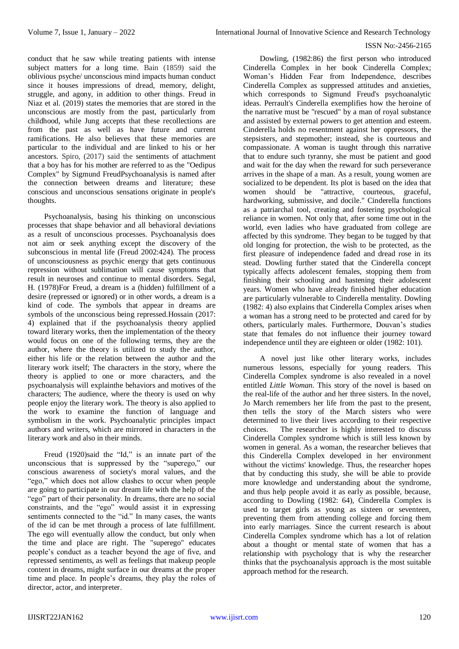conduct that he saw while treating patients with intense subject matters for a long time. Bain (1859) said the oblivious psyche/ unconscious mind impacts human conduct since it houses impressions of dread, memory, delight, struggle, and agony, in addition to other things. Freud in Niaz et al. (2019) states the memories that are stored in the unconscious are mostly from the past, particularly from childhood, while Jung accepts that these recollections are from the past as well as have future and current ramifications. He also believes that these memories are particular to the individual and are linked to his or her ancestors. Spiro, (2017) said the sentiments of attachment that a boy has for his mother are referred to as the "Oedipus Complex" by Sigmund FreudPsychoanalysis is named after the connection between dreams and literature; these conscious and unconscious sensations originate in people's thoughts.

Psychoanalysis, basing his thinking on unconscious processes that shape behavior and all behavioral deviations as a result of unconscious processes. Psychoanalysis does not aim or seek anything except the discovery of the subconscious in mental life (Freud 2002:424). The process of unconsciousness as psychic energy that gets continuous repression without sublimation will cause symptoms that result in neuroses and continue to mental disorders. Segal, H. (1978)For Freud, a dream is a (hidden) fulfillment of a desire (repressed or ignored) or in other words, a dream is a kind of code. The symbols that appear in dreams are symbols of the unconscious being repressed.Hossain (2017: 4) explained that if the psychoanalysis theory applied toward literary works, then the implementation of the theory would focus on one of the following terms, they are the author, where the theory is utilized to study the author, either his life or the relation between the author and the literary work itself; The characters in the story, where the theory is applied to one or more characters, and the psychoanalysis will explainthe behaviors and motives of the characters; The audience, where the theory is used on why people enjoy the literary work. The theory is also applied to the work to examine the function of language and symbolism in the work. Psychoanalytic principles impact authors and writers, which are mirrored in characters in the literary work and also in their minds.

Freud (1920)said the "Id," is an innate part of the unconscious that is suppressed by the "superego," our conscious awareness of society's moral values, and the "ego," which does not allow clashes to occur when people are going to participate in our dream life with the help of the "ego" part of their personality. In dreams, there are no social constraints, and the "ego" would assist it in expressing sentiments connected to the "id." In many cases, the wants of the id can be met through a process of late fulfillment. The ego will eventually allow the conduct, but only when the time and place are right. The "superego" educates people's conduct as a teacher beyond the age of five, and repressed sentiments, as well as feelings that makeup people content in dreams, might surface in our dreams at the proper time and place. In people's dreams, they play the roles of director, actor, and interpreter.

Dowling, (1982:86) the first person who introduced Cinderella Complex in her book Cinderella Complex; Woman's Hidden Fear from Independence, describes Cinderella Complex as suppressed attitudes and anxieties, which corresponds to Sigmund Freud's psychoanalytic ideas. Perrault's Cinderella exemplifies how the heroine of the narrative must be "rescued" by a man of royal substance and assisted by external powers to get attention and esteem. Cinderella holds no resentment against her oppressors, the stepsisters, and stepmother; instead, she is courteous and compassionate. A woman is taught through this narrative that to endure such tyranny, she must be patient and good and wait for the day when the reward for such perseverance arrives in the shape of a man. As a result, young women are socialized to be dependent. Its plot is based on the idea that women should be "attractive, courteous, graceful, hardworking, submissive, and docile." Cinderella functions as a patriarchal tool, creating and fostering psychological reliance in women. Not only that, after some time out in the world, even ladies who have graduated from college are affected by this syndrome. They began to be tugged by that old longing for protection, the wish to be protected, as the first pleasure of independence faded and dread rose in its stead. Dowling further stated that the Cinderella concept typically affects adolescent females, stopping them from finishing their schooling and hastening their adolescent years. Women who have already finished higher education are particularly vulnerable to Cinderella mentality. Dowling (1982: 4) also explains that Cinderella Complex arises when a woman has a strong need to be protected and cared for by others, particularly males. Furthermore, Douvan's studies state that females do not influence their journey toward independence until they are eighteen or older (1982: 101).

A novel just like other literary works, includes numerous lessons, especially for young readers. This Cinderella Complex syndrome is also revealed in a novel entitled *Little Woman.* This story of the novel is based on the real-life of the author and her three sisters. In the novel, Jo March remembers her life from the past to the present, then tells the story of the March sisters who were determined to live their lives according to their respective choices. The researcher is highly interested to discuss Cinderella Complex syndrome which is still less known by women in general. As a woman, the researcher believes that this Cinderella Complex developed in her environment without the victims' knowledge. Thus, the researcher hopes that by conducting this study, she will be able to provide more knowledge and understanding about the syndrome, and thus help people avoid it as early as possible, because, according to Dowling (1982: 64), Cinderella Complex is used to target girls as young as sixteen or seventeen, preventing them from attending college and forcing them into early marriages. Since the current research is about Cinderella Complex syndrome which has a lot of relation about a thought or mental state of women that has a relationship with psychology that is why the researcher thinks that the psychoanalysis approach is the most suitable approach method for the research.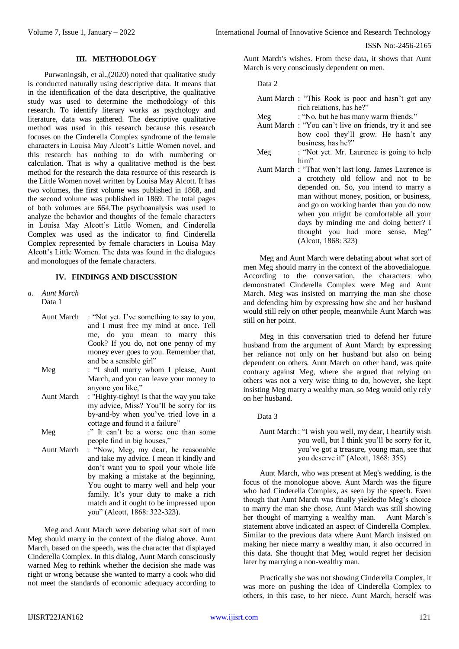## **III. METHODOLOGY**

Purwaningsih, et al.,(2020) noted that qualitative study is conducted naturally using descriptive data. It means that in the identification of the data descriptive, the qualitative study was used to determine the methodology of this research. To identify literary works as psychology and literature, data was gathered. The descriptive qualitative method was used in this research because this research focuses on the Cinderella Complex syndrome of the female characters in Louisa May Alcott's Little Women novel, and this research has nothing to do with numbering or calculation. That is why a qualitative method is the best method for the research the data resource of this research is the Little Women novel written by Louisa May Alcott. It has two volumes, the first volume was published in 1868, and the second volume was published in 1869. The total pages of both volumes are 664.The psychoanalysis was used to analyze the behavior and thoughts of the female characters in Louisa May Alcott's Little Women, and Cinderella Complex was used as the indicator to find Cinderella Complex represented by female characters in Louisa May Alcott's Little Women. The data was found in the dialogues and monologues of the female characters.

# **IV. FINDINGS AND DISCUSSION**

- *a. Aunt March* Data 1
	- Aunt March : "Not yet. I've something to say to you, and I must free my mind at once. Tell me, do you mean to marry this Cook? If you do, not one penny of my money ever goes to you. Remember that, and be a sensible girl"
	- Meg : "I shall marry whom I please, Aunt March, and you can leave your money to anyone you like,"
	- Aunt March : "Highty-tighty! Is that the way you take my advice, Miss? You'll be sorry for its by-and-by when you've tried love in a cottage and found it a failure"

Meg :" It can't be a worse one than some people find in big houses,"

Aunt March : "Now, Meg, my dear, be reasonable and take my advice. I mean it kindly and don't want you to spoil your whole life by making a mistake at the beginning. You ought to marry well and help your family. It's your duty to make a rich match and it ought to be impressed upon you" (Alcott, 1868: 322-323).

Meg and Aunt March were debating what sort of men Meg should marry in the context of the dialog above. Aunt March, based on the speech, was the character that displayed Cinderella Complex. In this dialog, Aunt March consciously warned Meg to rethink whether the decision she made was right or wrong because she wanted to marry a cook who did not meet the standards of economic adequacy according to

Aunt March's wishes. From these data, it shows that Aunt March is very consciously dependent on men.

Data 2

|     | Aunt March : "This Rook is poor and hasn't got any<br>rich relations, has he?"                                                                                                                                                                                                                                                                                                 |
|-----|--------------------------------------------------------------------------------------------------------------------------------------------------------------------------------------------------------------------------------------------------------------------------------------------------------------------------------------------------------------------------------|
| Meg | : "No, but he has many warm friends."<br>Aunt March: "You can't live on friends, try it and see<br>how cool they'll grow. He hasn't any                                                                                                                                                                                                                                        |
| Meg | business, has he?"<br>: "Not yet. Mr. Laurence is going to help<br>him"                                                                                                                                                                                                                                                                                                        |
|     | Aunt March: "That won't last long. James Laurence is<br>a crotchety old fellow and not to be<br>depended on. So, you intend to marry a<br>man without money, position, or business,<br>and go on working harder than you do now<br>when you might be comfortable all your<br>days by minding me and doing better? I<br>thought you had more sense, Meg"<br>(Alcott, 1868: 323) |

Meg and Aunt March were debating about what sort of men Meg should marry in the context of the abovedialogue. According to the conversation, the characters who demonstrated Cinderella Complex were Meg and Aunt March. Meg was insisted on marrying the man she chose and defending him by expressing how she and her husband would still rely on other people, meanwhile Aunt March was still on her point.

Meg in this conversation tried to defend her future husband from the argument of Aunt March by expressing her reliance not only on her husband but also on being dependent on others. Aunt March on other hand, was quite contrary against Meg, where she argued that relying on others was not a very wise thing to do, however, she kept insisting Meg marry a wealthy man, so Meg would only rely on her husband.

Data 3

Aunt March : "I wish you well, my dear, I heartily wish you well, but I think you'll be sorry for it, you've got a treasure, young man, see that you deserve it" (Alcott, 1868: 355)

Aunt March, who was present at Meg's wedding, is the focus of the monologue above. Aunt March was the figure who had Cinderella Complex, as seen by the speech. Even though that Aunt March was finally yieldedto Meg's choice to marry the man she chose, Aunt March was still showing her thought of marrying a wealthy man. Aunt March's statement above indicated an aspect of Cinderella Complex. Similar to the previous data where Aunt March insisted on making her niece marry a wealthy man, it also occurred in this data. She thought that Meg would regret her decision later by marrying a non-wealthy man.

Practically she was not showing Cinderella Complex, it was more on pushing the idea of Cinderella Complex to others, in this case, to her niece. Aunt March, herself was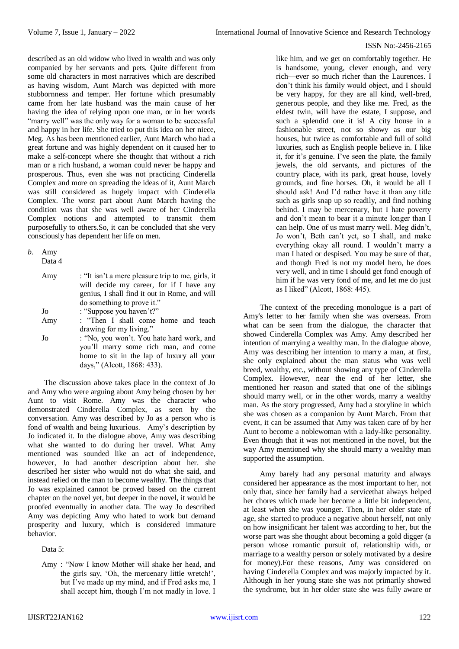described as an old widow who lived in wealth and was only companied by her servants and pets. Quite different from some old characters in most narratives which are described as having wisdom, Aunt March was depicted with more stubbornness and temper. Her fortune which presumably came from her late husband was the main cause of her having the idea of relying upon one man, or in her words "marry well" was the only way for a woman to be successful and happy in her life. She tried to put this idea on her niece, Meg. As has been mentioned earlier, Aunt March who had a great fortune and was highly dependent on it caused her to make a self-concept where she thought that without a rich man or a rich husband, a woman could never be happy and prosperous. Thus, even she was not practicing Cinderella Complex and more on spreading the ideas of it, Aunt March was still considered as hugely impact with Cinderella Complex. The worst part about Aunt March having the condition was that she was well aware of her Cinderella Complex notions and attempted to transmit them purposefully to others.So, it can be concluded that she very consciously has dependent her life on men.

| b. | Amy<br>Data 4 |                                                                                                                                                                              |
|----|---------------|------------------------------------------------------------------------------------------------------------------------------------------------------------------------------|
|    | Amy           | : "It isn't a mere pleasure trip to me, girls, it<br>will decide my career, for if I have any<br>genius, I shall find it out in Rome, and will<br>do something to prove it." |
|    | Jo            | : "Suppose you haven't?"                                                                                                                                                     |
|    | Amy           | : "Then I shall come home and teach<br>drawing for my living."                                                                                                               |
|    | Jo            | : "No, you won't. You hate hard work, and<br>you'll marry some rich man, and come<br>home to sit in the lap of luxury all your<br>days," (Alcott, 1868: 433).                |
|    |               |                                                                                                                                                                              |

The discussion above takes place in the context of Jo and Amy who were arguing about Amy being chosen by her Aunt to visit Rome. Amy was the character who demonstrated Cinderella Complex, as seen by the conversation. Amy was described by Jo as a person who is fond of wealth and being luxurious. Amy's description by Jo indicated it. In the dialogue above, Amy was describing what she wanted to do during her travel. What Amy mentioned was sounded like an act of independence, however, Jo had another description about her. she described her sister who would not do what she said, and instead relied on the man to become wealthy. The things that Jo was explained cannot be proved based on the current chapter on the novel yet, but deeper in the novel, it would be proofed eventually in another data. The way Jo described Amy was depicting Amy who hated to work but demand prosperity and luxury, which is considered immature behavior.

Data 5:

like him, and we get on comfortably together. He is handsome, young, clever enough, and very rich—ever so much richer than the Laurences. I don't think his family would object, and I should be very happy, for they are all kind, well-bred, generous people, and they like me. Fred, as the eldest twin, will have the estate, I suppose, and such a splendid one it is! A city house in a fashionable street, not so showy as our big houses, but twice as comfortable and full of solid luxuries, such as English people believe in. I like it, for it's genuine. I've seen the plate, the family jewels, the old servants, and pictures of the country place, with its park, great house, lovely grounds, and fine horses. Oh, it would be all I should ask! And I'd rather have it than any title such as girls snap up so readily, and find nothing behind. I may be mercenary, but I hate poverty and don't mean to bear it a minute longer than I can help. One of us must marry well. Meg didn't, Jo won't, Beth can't yet, so I shall, and make everything okay all round. I wouldn't marry a man I hated or despised. You may be sure of that, and though Fred is not my model hero, he does very well, and in time I should get fond enough of him if he was very fond of me, and let me do just as I liked" (Alcott, 1868: 445).

The context of the preceding monologue is a part of Amy's letter to her family when she was overseas. From what can be seen from the dialogue, the character that showed Cinderella Complex was Amy. Amy described her intention of marrying a wealthy man. In the dialogue above, Amy was describing her intention to marry a man, at first, she only explained about the man status who was well breed, wealthy, etc., without showing any type of Cinderella Complex. However, near the end of her letter, she mentioned her reason and stated that one of the siblings should marry well, or in the other words, marry a wealthy man. As the story progressed, Amy had a storyline in which she was chosen as a companion by Aunt March. From that event, it can be assumed that Amy was taken care of by her Aunt to become a noblewoman with a lady-like personality. Even though that it was not mentioned in the novel, but the way Amy mentioned why she should marry a wealthy man supported the assumption.

Amy barely had any personal maturity and always considered her appearance as the most important to her, not only that, since her family had a servicethat always helped her chores which made her become a little bit independent, at least when she was younger. Then, in her older state of age, she started to produce a negative about herself, not only on how insignificant her talent was according to her, but the worse part was she thought about becoming a gold digger (a person whose romantic pursuit of, relationship with, or marriage to a wealthy person or solely motivated by a desire for money).For these reasons, Amy was considered on having Cinderella Complex and was majorly impacted by it. Although in her young state she was not primarily showed the syndrome, but in her older state she was fully aware or

Amy : "Now I know Mother will shake her head, and the girls say, 'Oh, the mercenary little wretch!', but I've made up my mind, and if Fred asks me, I shall accept him, though I'm not madly in love. I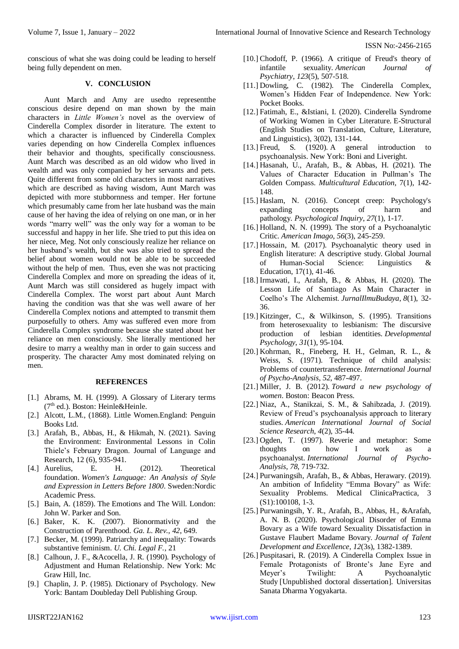conscious of what she was doing could be leading to herself being fully dependent on men.

# **V. CONCLUSION**

Aunt March and Amy are usedto representthe conscious desire depend on man shown by the main characters in *Little Women's* novel as the overview of Cinderella Complex disorder in literature. The extent to which a character is influenced by Cinderella Complex varies depending on how Cinderella Complex influences their behavior and thoughts, specifically consciousness. Aunt March was described as an old widow who lived in wealth and was only companied by her servants and pets. Quite different from some old characters in most narratives which are described as having wisdom, Aunt March was depicted with more stubbornness and temper. Her fortune which presumably came from her late husband was the main cause of her having the idea of relying on one man, or in her words "marry well" was the only way for a woman to be successful and happy in her life. She tried to put this idea on her niece, Meg. Not only consciously realize her reliance on her husband's wealth, but she was also tried to spread the belief about women would not be able to be succeeded without the help of men. Thus, even she was not practicing Cinderella Complex and more on spreading the ideas of it, Aunt March was still considered as hugely impact with Cinderella Complex. The worst part about Aunt March having the condition was that she was well aware of her Cinderella Complex notions and attempted to transmit them purposefully to others. Amy was suffered even more from Cinderella Complex syndrome because she stated about her reliance on men consciously. She literally mentioned her desire to marry a wealthy man in order to gain success and prosperity. The character Amy most dominated relying on men.

## **REFERENCES**

- [1.] Abrams, M. H. (1999). A Glossary of Literary terms (7th ed.). Boston: Heinle&Heinle.
- [2.] Alcott, L.M., (1868). Little Women.England: Penguin Books Ltd.
- [3.] Arafah, B., Abbas, H., & Hikmah, N. (2021). Saving the Environment: Environmental Lessons in Colin Thiele's February Dragon. Journal of Language and Research, 12 (6), 935-941.
- [4.] Aurelius, E. H. (2012). Theoretical foundation. *Women's Language: An Analysis of Style and Expression in Letters Before 1800*. Sweden:Nordic Academic Press.
- [5.] Bain, A. (1859). The Emotions and The Will. London: John W. Parker and Son.
- [6.] Baker, K. K. (2007). Bionormativity and the Construction of Parenthood. *Ga. L. Rev.*, *42*, 649.
- [7.] Becker, M. (1999). Patriarchy and inequality: Towards substantive feminism. *U. Chi. Legal F.*, 21
- [8.] Calhoun, J. F., &Acocella, J. R. (1990). Psychology of Adjustment and Human Relationship. New York: Mc Graw Hill, Inc.
- [9.] Chaplin, J. P. (1985). Dictionary of Psychology. New York: Bantam Doubleday Dell Publishing Group.
- [10.] Chodoff, P. (1966). A critique of Freud's theory of infantile sexuality. *American Journal of Psychiatry*, *123*(5), 507-518.
- [11.] Dowling, C. (1982). The Cinderella Complex, Women's Hidden Fear of Independence. New York: Pocket Books.
- [12.] Fatimah, E., &Istiani, I. (2020). Cinderella Syndrome of Working Women in Cyber Literature. E-Structural (English Studies on Translation, Culture, Literature, and Linguistics), 3(02), 131-144.
- [13.] Freud, S. (1920). A general introduction to psychoanalysis. New York: Boni and Liveright.
- [14.] Hasanah, U., Arafah, B., & Abbas, H. (2021). The Values of Character Education in Pullman's The Golden Compass. *Multicultural Education*, 7(1), 142- 148.
- [15.] Haslam, N. (2016). Concept creep: Psychology's expanding concepts of harm and pathology. *Psychological Inquiry*, *27*(1), 1-17.
- [16.] Holland, N. N. (1999). The story of a Psychoanalytic Critic. *American Imago*, *56*(3), 245-259.
- [17.] Hossain, M. (2017). Psychoanalytic theory used in English literature: A descriptive study. Global Journal of Human-Social Science: Linguistics & Education, 17(1), 41-46.
- [18.] Irmawati, I., Arafah, B., & Abbas, H. (2020). The Lesson Life of Santiago As Main Character in Coelho's The Alchemist. *JurnalIlmuBudaya*, *8*(1), 32- 36.
- [19.] Kitzinger, C., & Wilkinson, S. (1995). Transitions from heterosexuality to lesbianism: The discursive production of lesbian identities. *Developmental Psychology*, *31*(1), 95-104.
- [20.] Kohrman, R., Fineberg, H. H., Gelman, R. L., & Weiss, S. (1971). Technique of child analysis: Problems of countertransference. *International Journal of Psycho-Analysis*, *52*, 487-497.
- [21.] Miller, J. B. (2012). *Toward a new psychology of women*. Boston: Beacon Press.
- [22.] Niaz, A., Stanikzai, S. M., & Sahibzada, J. (2019). Review of Freud's psychoanalysis approach to literary studies. *American International Journal of Social Science Research*, *4*(2), 35-44.
- [23.] Ogden, T. (1997). Reverie and metaphor: Some thoughts on how I work as a psychoanalyst. *International Journal of Psycho-Analysis*, *78*, 719-732.
- [24.] Purwaningsih, Arafah, B., & Abbas, Herawary. (2019). An ambition of Infidelity "Emma Bovary" as Wife: Sexuality Problems. Medical ClinicaPractica, 3 (S1):100108, 1-3.
- [25.] Purwaningsih, Y. R., Arafah, B., Abbas, H., &Arafah, A. N. B. (2020). Psychological Disorder of Emma Bovary as a Wife toward Sexuality Dissatisfaction in Gustave Flaubert Madame Bovary. *Journal of Talent Development and Excellence*, *12*(3s), 1382-1389.
- [26.] Puspitasari, R. (2019). A Cinderella Complex Issue in Female Protagonists of Bronte's Jane Eyre and Meyer's Twilight: A Psychoanalytic Study [Unpublished doctoral dissertation]. Universitas Sanata Dharma Yogyakarta.